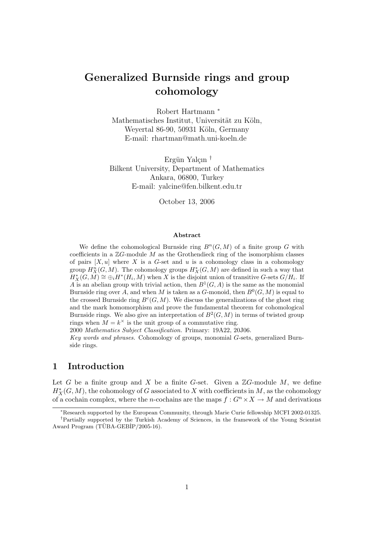# Generalized Burnside rings and group cohomology

Robert Hartmann <sup>∗</sup> Mathematisches Institut, Universität zu Köln, Weyertal 86-90, 50931 Köln, Germany E-mail: rhartman@math.uni-koeln.de

Ergün Yalçın<sup>†</sup> Bilkent University, Department of Mathematics Ankara, 06800, Turkey E-mail: yalcine@fen.bilkent.edu.tr

October 13, 2006

#### Abstract

We define the cohomological Burnside ring  $B^n(G, M)$  of a finite group G with coefficients in a  $\mathbb{Z}G$ -module M as the Grothendieck ring of the isomorphism classes of pairs  $[X, u]$  where X is a G-set and u is a cohomology class in a cohomology group  $H_X^n(G, M)$ . The cohomology groups  $H_X^*(G, M)$  are defined in such a way that  $H_X^*(G, \hat{M}) \cong \bigoplus_i H^*(H_i, M)$  when X is the disjoint union of transitive G-sets  $G/H_i$ . If A is an abelian group with trivial action, then  $B^1(G, A)$  is the same as the monomial Burnside ring over A, and when M is taken as a G-monoid, then  $B<sup>0</sup>(G, M)$  is equal to the crossed Burnside ring  $B^c(G, M)$ . We discuss the generalizations of the ghost ring and the mark homomorphism and prove the fundamental theorem for cohomological Burnside rings. We also give an interpretation of  $B^2(G, M)$  in terms of twisted group rings when  $M = k^{\times}$  is the unit group of a commutative ring.

2000 Mathematics Subject Classification. Primary: 19A22, 20J06.

Key words and phrases. Cohomology of groups, monomial G-sets, generalized Burnside rings.

#### 1 Introduction

Let G be a finite group and X be a finite G-set. Given a  $\mathbb{Z}G$ -module M, we define  $H^*_X(G, M)$ , the cohomology of G associated to X with coefficients in M, as the cohomology of a cochain complex, where the n-cochains are the maps  $f: G^n \times X \to M$  and derivations

<sup>∗</sup>Research supported by the European Community, through Marie Curie fellowship MCFI 2002-01325.

<sup>†</sup>Partially supported by the Turkish Academy of Sciences, in the framework of the Young Scientist Award Program  $(T\ddot{U}BA-GEB\dot{I}P/2005-16)$ .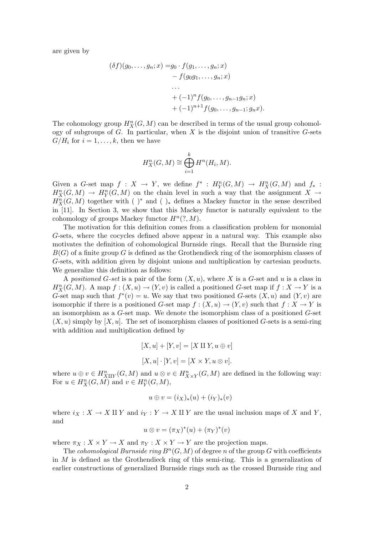are given by

$$
(\delta f)(g_0, \ldots, g_n; x) = g_0 \cdot f(g_1, \ldots, g_n; x)
$$
  
-  $f(g_0g_1, \ldots, g_n; x)$   
...  
+  $(-1)^n f(g_0, \ldots, g_{n-1}g_n; x)$   
+  $(-1)^{n+1} f(g_0, \ldots, g_{n-1}; g_n x).$ 

The cohomology group  $H_X^n(G, M)$  can be described in terms of the usual group cohomology of subgroups of  $G$ . In particular, when  $X$  is the disjoint union of transitive  $G$ -sets  $G/H_i$  for  $i=1,\ldots,k$ , then we have

$$
H_X^n(G, M) \cong \bigoplus_{i=1}^k H^n(H_i, M).
$$

Given a G-set map  $f: X \to Y$ , we define  $f^* : H_Y^n(G, M) \to H_X^n(G, M)$  and  $f_* :$  $H_X^n(G,M) \to H_Y^n(G,M)$  on the chain level in such a way that the assignment  $X \to Y$  $H_X^n(G,M)$  together with ( )<sup>\*</sup> and ( )<sub>\*</sub> defines a Mackey functor in the sense described in [11]. In Section 3, we show that this Mackey functor is naturally equivalent to the cohomology of groups Mackey functor  $H^n(?, M)$ .

The motivation for this definition comes from a classification problem for monomial G-sets, where the cocycles defined above appear in a natural way. This example also motivates the definition of cohomological Burnside rings. Recall that the Burnside ring  $B(G)$  of a finite group G is defined as the Grothendieck ring of the isomorphism classes of G-sets, with addition given by disjoint unions and multiplication by cartesian products. We generalize this definition as follows:

A positioned G-set is a pair of the form  $(X, u)$ , where X is a G-set and u is a class in  $H_X^n(G, M)$ . A map  $f : (X, u) \to (Y, v)$  is called a positioned G-set map if  $f : X \to Y$  is a G-set map such that  $f^*(v) = u$ . We say that two positioned G-sets  $(X, u)$  and  $(Y, v)$  are isomorphic if there is a positioned G-set map  $f : (X, u) \to (Y, v)$  such that  $f : X \to Y$  is an isomorphism as a G-set map. We denote the isomorphism class of a positioned G-set  $(X, u)$  simply by  $[X, u]$ . The set of isomorphism classes of positioned G-sets is a semi-ring with addition and multiplication defined by

$$
[X, u] + [Y, v] = [X \amalg Y, u \oplus v]
$$

$$
[X, u] \cdot [Y, v] = [X \times Y, u \otimes v].
$$

where  $u \oplus v \in H_{X \amalg Y}^n(G, M)$  and  $u \otimes v \in H_{X \times Y}^n(G, M)$  are defined in the following way: For  $u \in H_X^n(G, M)$  and  $v \in H_Y^n(G, M)$ ,

$$
u \oplus v = (i_X)_*(u) + (i_Y)_*(v)
$$

where  $i_X : X \to X \amalg Y$  and  $i_Y : Y \to X \amalg Y$  are the usual inclusion maps of X and Y, and

$$
u \otimes v = (\pi_X)^*(u) + (\pi_Y)^*(v)
$$

where  $\pi_X : X \times Y \to X$  and  $\pi_Y : X \times Y \to Y$  are the projection maps.

The cohomological Burnside ring  $B<sup>n</sup>(G, M)$  of degree n of the group G with coefficients in  $M$  is defined as the Grothendieck ring of this semi-ring. This is a generalization of earlier constructions of generalized Burnside rings such as the crossed Burnside ring and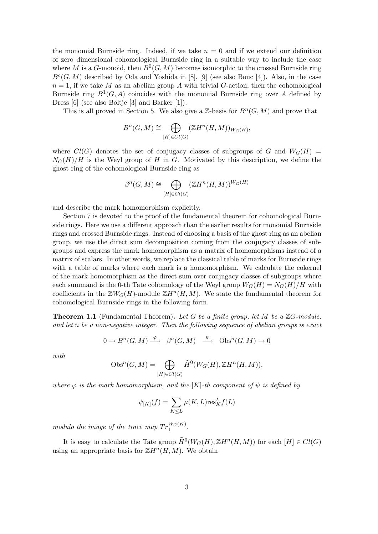the monomial Burnside ring. Indeed, if we take  $n = 0$  and if we extend our definition of zero dimensional cohomological Burnside ring in a suitable way to include the case where M is a G-monoid, then  $B<sup>0</sup>(G, M)$  becomes isomorphic to the crossed Burnside ring  $B<sup>c</sup>(G, M)$  described by Oda and Yoshida in [8], [9] (see also Bouc [4]). Also, in the case  $n = 1$ , if we take M as an abelian group A with trivial G-action, then the cohomological Burnside ring  $B^1(G, A)$  coincides with the monomial Burnside ring over A defined by Dress [6] (see also Boltje [3] and Barker [1]).

This is all proved in Section 5. We also give a  $\mathbb{Z}$ -basis for  $B^n(G, M)$  and prove that

$$
B^{n}(G, M) \cong \bigoplus_{[H]\in Cl(G)} (\mathbb{Z}H^{n}(H, M))_{W_G(H)},
$$

where  $Cl(G)$  denotes the set of conjugacy classes of subgroups of G and  $W_G(H)$  =  $N_G(H)/H$  is the Weyl group of H in G. Motivated by this description, we define the ghost ring of the cohomological Burnside ring as

$$
\beta^{n}(G, M) \cong \bigoplus_{[H] \in Cl(G)} (\mathbb{Z}H^{n}(H, M))^{W_G(H)}
$$

and describe the mark homomorphism explicitly.

Section 7 is devoted to the proof of the fundamental theorem for cohomological Burnside rings. Here we use a different approach than the earlier results for monomial Burnside rings and crossed Burnside rings. Instead of choosing a basis of the ghost ring as an abelian group, we use the direct sum decomposition coming from the conjugacy classes of subgroups and express the mark homomorphism as a matrix of homomorphisms instead of a matrix of scalars. In other words, we replace the classical table of marks for Burnside rings with a table of marks where each mark is a homomorphism. We calculate the cokernel of the mark homomorphism as the direct sum over conjugacy classes of subgroups where each summand is the 0-th Tate cohomology of the Weyl group  $W_G(H) = N_G(H)/H$  with coefficients in the  $\mathbb{Z}W_G(H)$ -module  $\mathbb{Z}H^n(H,M)$ . We state the fundamental theorem for cohomological Burnside rings in the following form.

**Theorem 1.1** (Fundamental Theorem). Let G be a finite group, let M be a  $\mathbb{Z}G$ -module, and let n be a non-negative integer. Then the following sequence of abelian groups is exact

$$
0 \to B^{n}(G, M) \xrightarrow{\varphi} \beta^{n}(G, M) \xrightarrow{\psi} \text{Obs}^{n}(G, M) \to 0
$$

with

$$
Obs^{n}(G, M) = \bigoplus_{[H] \in Cl(G)} \widehat{H}^{0}(W_G(H), \mathbb{Z}H^{n}(H, M)),
$$

where  $\varphi$  is the mark homomorphism, and the [K]-th component of  $\psi$  is defined by

$$
\psi_{[K]}(f) = \sum_{K \le L} \mu(K, L) \text{res}_K^L f(L)
$$

modulo the image of the trace map  $Tr_1^{W_G(K)}$ .

It is easy to calculate the Tate group  $\widehat{H}^0(W_G(H), \mathbb{Z}H^n(H, M))$  for each  $[H] \in Cl(G)$ using an appropriate basis for  $\mathbb{Z}H^n(H,M)$ . We obtain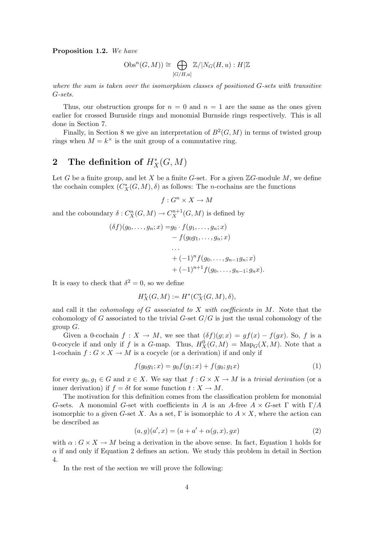Proposition 1.2. We have

$$
\mathrm{Obs}^n(G, M)) \cong \bigoplus_{[G/H, u]} \mathbb{Z}/|N_G(H, u): H|\mathbb{Z}
$$

where the sum is taken over the isomorphism classes of positioned G-sets with transitive G-sets.

Thus, our obstruction groups for  $n = 0$  and  $n = 1$  are the same as the ones given earlier for crossed Burnside rings and monomial Burnside rings respectively. This is all done in Section 7.

Finally, in Section 8 we give an interpretation of  $B^2(G, M)$  in terms of twisted group rings when  $M = k^{\times}$  is the unit group of a commutative ring.

## 2 The definition of  $H^*_X(G,M)$

Let G be a finite group, and let X be a finite G-set. For a given  $\mathbb{Z}G$ -module M, we define the cochain complex  $(C_X^*(G, M), \delta)$  as follows: The *n*-cochains are the functions

$$
f: G^n \times X \to M
$$

and the coboundary  $\delta: C_{X}^{n}(G, M) \to C_{X}^{n+1}(G, M)$  is defined by

$$
(\delta f)(g_0, \ldots, g_n; x) = g_0 \cdot f(g_1, \ldots, g_n; x)
$$
  
-  $f(g_0g_1, \ldots, g_n; x)$   

$$
\ldots
$$
  
+  $(-1)^n f(g_0, \ldots, g_{n-1}g_n; x)$   
+  $(-1)^{n+1} f(g_0, \ldots, g_{n-1}; g_n x).$ 

It is easy to check that  $\delta^2 = 0$ , so we define

$$
H^*_X(G,M):=H^*(C^*_X(G,M),\delta),
$$

and call it the *cohomology of G associated to X with coefficients in M*. Note that the cohomology of G associated to the trivial G-set  $G/G$  is just the usual cohomology of the group  $G$ .

Given a 0-cochain  $f: X \to M$ , we see that  $(\delta f)(g; x) = gf(x) - f(gx)$ . So, f is a 0-cocycle if and only if f is a G-map. Thus,  $H_X^0(G,M) = \text{Map}_G(X,M)$ . Note that a 1-cochain  $f: G \times X \to M$  is a cocycle (or a derivation) if and only if

$$
f(g_0g_1; x) = g_0f(g_1; x) + f(g_0; g_1x)
$$
\n<sup>(1)</sup>

for every  $g_0, g_1 \in G$  and  $x \in X$ . We say that  $f: G \times X \to M$  is a trivial derivation (or a inner derivation) if  $f = \delta t$  for some function  $t : X \to M$ .

The motivation for this definition comes from the classification problem for monomial G-sets. A monomial G-set with coefficients in A is an A-free  $A \times G$ -set  $\Gamma$  with  $\Gamma/A$ isomorphic to a given G-set X. As a set,  $\Gamma$  is isomorphic to  $A \times X$ , where the action can be described as

$$
(a,g)(a',x) = (a+a'+\alpha(g,x),gx)
$$
 (2)

with  $\alpha$ :  $G \times X \to M$  being a derivation in the above sense. In fact, Equation 1 holds for  $\alpha$  if and only if Equation 2 defines an action. We study this problem in detail in Section 4.

In the rest of the section we will prove the following: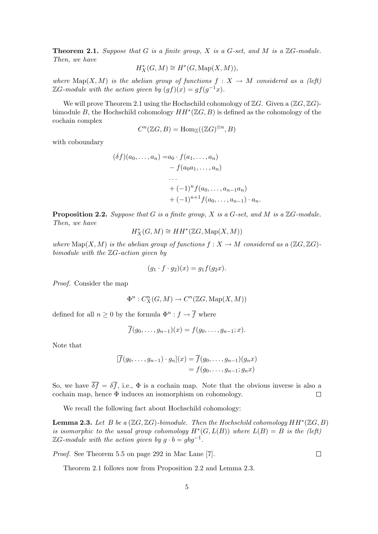**Theorem 2.1.** Suppose that G is a finite group, X is a G-set, and M is a  $\mathbb{Z}G$ -module. Then, we have

$$
H^*_{X}(G,M) \cong H^*(G, \operatorname{Map}(X,M)),
$$

where Map(X, M) is the abelian group of functions  $f : X \to M$  considered as a (left)  $\mathbb{Z}G$ -module with the action given by  $(gf)(x) = gf(g^{-1}x)$ .

We will prove Theorem 2.1 using the Hochschild cohomology of  $\mathbb{Z}G$ . Given a  $(\mathbb{Z}G, \mathbb{Z}G)$ bimodule B, the Hochschild cohomology  $HH^*(\mathbb{Z}G, B)$  is defined as the cohomology of the cochain complex

$$
C^n(\mathbb{Z} G,B)=\mathrm{Hom}_{\mathbb{Z}}((\mathbb{Z} G)^{\otimes n},B)
$$

with coboundary

$$
(\delta f)(a_0, \ldots, a_n) = a_0 \cdot f(a_1, \ldots, a_n)
$$
  
-  $f(a_0a_1, \ldots, a_n)$   
...  
+  $(-1)^n f(a_0, \ldots, a_{n-1}a_n)$   
+  $(-1)^{n+1} f(a_0, \ldots, a_{n-1}) \cdot a_n$ .

**Proposition 2.2.** Suppose that G is a finite group, X is a G-set, and M is a  $\mathbb{Z}G$ -module. Then, we have

$$
H^*_{X}(G, M) \cong HH^*(\mathbb{Z}G, \operatorname{Map}(X, M))
$$

where  $\text{Map}(X, M)$  is the abelian group of functions  $f : X \to M$  considered as a  $(\mathbb{Z}G, \mathbb{Z}G)$ bimodule with the  $\mathbb{Z}G$ -action given by

$$
(g_1 \cdot f \cdot g_2)(x) = g_1 f(g_2 x).
$$

Proof. Consider the map

$$
\Phi^n : C_X^n(G, M) \to C^n(\mathbb{Z}G, \operatorname{Map}(X, M))
$$

defined for all  $n \geq 0$  by the formula  $\Phi^n : f \to \overline{f}$  where

$$
f(g_0, \ldots, g_{n-1})(x) = f(g_0, \ldots, g_{n-1}; x).
$$

Note that

$$
[\overline{f}(g_0,\ldots,g_{n-1})\cdot g_n](x) = \overline{f}(g_0,\ldots,g_{n-1})(g_n x)
$$
  
=  $f(g_0,\ldots,g_{n-1};g_n x)$ 

So, we have  $\overline{\delta f} = \delta \overline{f}$ , i.e.,  $\Phi$  is a cochain map. Note that the obvious inverse is also a cochain map, hence Φ induces an isomorphism on cohomology.  $\Box$ 

We recall the following fact about Hochschild cohomology:

**Lemma 2.3.** Let B be a  $(\mathbb{Z}G, \mathbb{Z}G)$ -bimodule. Then the Hochschild cohomology  $HH^*(\mathbb{Z}G, B)$ is isomorphic to the usual group cohomology  $H^*(G, L(B))$  where  $L(B) = B$  is the (left)  $\mathbb{Z}G$ -module with the action given by  $g \cdot b = gbg^{-1}$ .

Proof. See Theorem 5.5 on page 292 in Mac Lane [7].

Theorem 2.1 follows now from Proposition 2.2 and Lemma 2.3.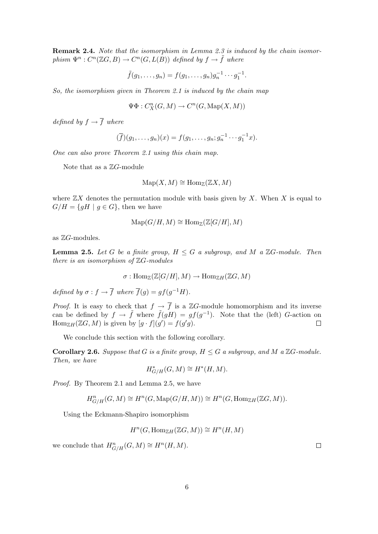**Remark 2.4.** Note that the isomorphism in Lemma 2.3 is induced by the chain isomorphism  $\Psi^n : C^n(\mathbb{Z}G, B) \to C^n(G, L(\overset{\circ}{B}))$  defined by  $f \to \widetilde{f}$  where

$$
\tilde{f}(g_1,\ldots,g_n) = f(g_1,\ldots,g_n)g_n^{-1}\cdots g_1^{-1}.
$$

So, the isomorphism given in Theorem 2.1 is induced by the chain map

$$
\Psi\Phi:C_X^n(G,M)\to C^n(G,\operatorname{Map}(X,M))
$$

defined by  $f \rightarrow \overline{f}$  where

$$
(\overline{f})(g_1,\ldots,g_n)(x) = f(g_1,\ldots,g_n; g_n^{-1} \cdots g_1^{-1}x).
$$

One can also prove Theorem 2.1 using this chain map.

Note that as a  $\mathbb{Z}G$ -module

$$
\mathrm{Map}(X, M) \cong \mathrm{Hom}_{\mathbb{Z}}(\mathbb{Z}X, M)
$$

where  $\mathbb{Z}X$  denotes the permutation module with basis given by X. When X is equal to  $G/H = \{gH \mid g \in G\}$ , then we have

$$
\mathrm{Map}(G/H, M) \cong \mathrm{Hom}_{\mathbb{Z}}(\mathbb{Z}[G/H], M)
$$

as  $\mathbb{Z}G$ -modules.

**Lemma 2.5.** Let G be a finite group,  $H \leq G$  a subgroup, and M a  $\mathbb{Z}G$ -module. Then there is an isomorphism of  $\mathbb{Z}G$ -modules

$$
\sigma: \mathrm{Hom}_{\mathbb{Z}}(\mathbb{Z}[G/H],M) \to \mathrm{Hom}_{\mathbb{Z}H}(\mathbb{Z}G,M)
$$

defined by  $\sigma : f \to \overline{f}$  where  $\overline{f}(g) = gf(g^{-1}H)$ .

*Proof.* It is easy to check that  $f \rightarrow \overline{f}$  is a ZG-module homomorphism and its inverse can be defined by  $f \to \tilde{f}$  where  $\tilde{f}(gH) = gf(g^{-1})$ . Note that the (left) G-action on  $\text{Hom}_{\mathbb{Z}H}(\mathbb{Z}G,M)$  is given by  $[g \cdot f](g') = f(g'g)$ .  $\Box$ 

We conclude this section with the following corollary.

**Corollary 2.6.** Suppose that G is a finite group,  $H \leq G$  a subgroup, and M a  $\mathbb{Z}G$ -module. Then, we have

$$
H^*_{G/H}(G,M)\cong H^*(H,M).
$$

Proof. By Theorem 2.1 and Lemma 2.5, we have

$$
H^n_{G/H}(G,M) \cong H^n(G, \operatorname{Map}(G/H, M)) \cong H^n(G, \operatorname{Hom}_{\mathbb{Z}H}(\mathbb{Z}G, M)).
$$

Using the Eckmann-Shapiro isomorphism

$$
H^n(G, \text{Hom}_{\mathbb{Z}H}(\mathbb{Z}G, M)) \cong H^n(H, M)
$$

we conclude that  $H_{G/H}^n(G,M) \cong H^n(H,M)$ .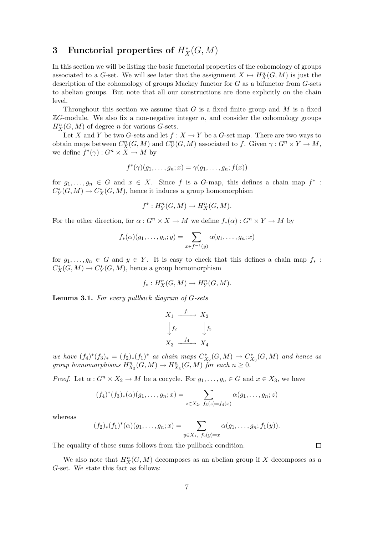## 3 Functorial properties of  $H_X^*(G,M)$

In this section we will be listing the basic functorial properties of the cohomology of groups associated to a G-set. We will see later that the assignment  $X \mapsto H_X^n(G, M)$  is just the description of the cohomology of groups Mackey functor for G as a bifunctor from G-sets to abelian groups. But note that all our constructions are done explicitly on the chain level.

Throughout this section we assume that  $G$  is a fixed finite group and  $M$  is a fixed  $\mathbb{Z}G$ -module. We also fix a non-negative integer n, and consider the cohomology groups  $H_X^n(G, M)$  of degree *n* for various *G*-sets.

Let X and Y be two G-sets and let  $f : X \to Y$  be a G-set map. There are two ways to obtain maps between  $C_X^n(G, M)$  and  $C_Y^n(G, M)$  associated to f. Given  $\gamma: G^n \times Y \to M$ , we define  $f^*(\gamma) : G^n \times X \to M$  by

$$
f^*(\gamma)(g_1,\ldots,g_n;x)=\gamma(g_1,\ldots,g_n;f(x))
$$

for  $g_1, \ldots, g_n \in G$  and  $x \in X$ . Since f is a G-map, this defines a chain map  $f^*$ :  $C_Y^*(G,M) \to C_X^*(G,M)$ , hence it induces a group homomorphism

$$
f^*: H_Y^n(G, M) \to H_X^n(G, M).
$$

For the other direction, for  $\alpha: G^n \times X \to M$  we define  $f_*(\alpha): G^n \times Y \to M$  by

$$
f_*(\alpha)(g_1,\ldots,g_n;y)=\sum_{x\in f^{-1}(y)}\alpha(g_1,\ldots,g_n;x)
$$

for  $g_1, \ldots, g_n \in G$  and  $y \in Y$ . It is easy to check that this defines a chain map  $f_*$ :  $C^*_X(G, M) \to C^*_Y(G, M)$ , hence a group homomorphism

$$
f_*: H_X^n(G, M) \to H_Y^n(G, M).
$$

Lemma 3.1. For every pullback diagram of G-sets

$$
X_1 \xrightarrow{f_1} X_2
$$
  
\n
$$
\downarrow f_2 \qquad \qquad \downarrow f_3
$$
  
\n
$$
X_3 \xrightarrow{f_4} X_4
$$

we have  $(f_4)^*(f_3)_* = (f_2)_*(f_1)^*$  as chain maps  $C_{X_2}^*(G,M) \to C_{X_3}^*(G,M)$  and hence as group homomorphisms  $H_{X_2}^n(G,M) \to H_{X_3}^n(G,M)$  for each  $n \geq 0$ .

*Proof.* Let  $\alpha: G^n \times X_2 \to M$  be a cocycle. For  $g_1, \ldots, g_n \in G$  and  $x \in X_3$ , we have

$$
(f_4)^*(f_3)_*(\alpha)(g_1,\ldots,g_n;x) = \sum_{z \in X_2, \ f_3(z) = f_4(x)} \alpha(g_1,\ldots,g_n;z)
$$

whereas

$$
(f_2)_*(f_1)^*(\alpha)(g_1,\ldots,g_n;x)=\sum_{y\in X_1,\ f_2(y)=x}\alpha(g_1,\ldots,g_n;f_1(y)).
$$

The equality of these sums follows from the pullback condition.

We also note that  $H_X^n(G, M)$  decomposes as an abelian group if X decomposes as a G-set. We state this fact as follows: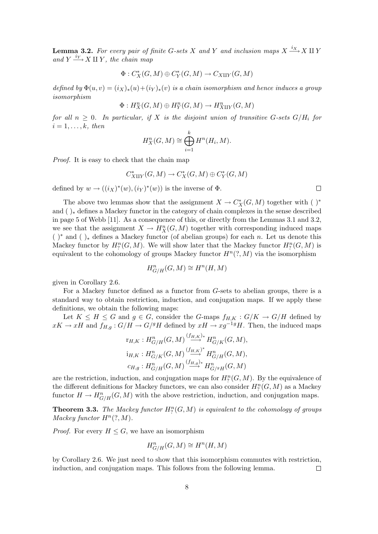**Lemma 3.2.** For every pair of finite G-sets X and Y and inclusion maps  $X \xrightarrow{i_X} X \amalg Y$ and  $Y \xrightarrow{i_Y} X \amalg Y$ , the chain map

$$
\Phi: C^*_X(G,M)\oplus C^*_Y(G,M)\to C_{X \amalg Y}(G,M)
$$

defined by  $\Phi(u, v) = (i_X)_*(u) + (i_Y)_*(v)$  is a chain isomorphism and hence induces a group isomorphism

$$
\Phi: H_X^n(G,M) \oplus H_Y^n(G,M) \to H_{X \amalg Y}^n(G,M)
$$

for all  $n \geq 0$ . In particular, if X is the disjoint union of transitive G-sets  $G/H_i$  for  $i=1,\ldots,k,$  then

$$
H_X^n(G, M) \cong \bigoplus_{i=1}^k H^n(H_i, M).
$$

Proof. It is easy to check that the chain map

$$
C^*_{X \amalg Y}(G,M) \to C^*_X(G,M) \oplus C^*_Y(G,M)
$$

defined by  $w \to ((i_X)^*(w), (i_Y)^*(w))$  is the inverse of  $\Phi$ .

The above two lemmas show that the assignment  $X \to C^*_X(G,M)$  together with ( )<sup>\*</sup> and ( )<sup>∗</sup> defines a Mackey functor in the category of chain complexes in the sense described in page 5 of Webb [11]. As a consequence of this, or directly from the Lemmas 3.1 and 3.2, we see that the assignment  $X \to H_X^n(G, M)$  together with corresponding induced maps  $( )^*$  and  $( )_*$  defines a Mackey functor (of abelian groups) for each n. Let us denote this Mackey functor by  $H^n_? (G, M)$ . We will show later that the Mackey functor  $H^n_? (G, M)$  is equivalent to the cohomology of groups Mackey functor  $H^n(?, M)$  via the isomorphism

$$
H^n_{G/H}(G,M) \cong H^n(H,M)
$$

given in Corollary 2.6.

For a Mackey functor defined as a functor from G-sets to abelian groups, there is a standard way to obtain restriction, induction, and conjugation maps. If we apply these definitions, we obtain the following maps:

Let  $K \leq H \leq G$  and  $g \in G$ , consider the G-maps  $f_{H,K}: G/K \to G/H$  defined by  $xK \to xH$  and  $f_{H,g}: G/H \to G/^gH$  defined by  $xH \to xg^{-1}H$ . Then, the induced maps

$$
\begin{aligned}\n\mathbf{r}_{H,K} &:\nH_{G/H}^n(G,M) \xrightarrow{(f_{H,K})^*} H_{G/K}^n(G,M), \\
\mathbf{i}_{H,K} &:\nH_{G/K}^n(G,M) \xrightarrow{(f_{H,K})^*} H_{G/H}^n(G,M), \\
\mathbf{c}_{H,g} &:\nH_{G/H}^n(G,M) \xrightarrow{(f_{H,g})^*} H_{G/g_H}^n(G,M)\n\end{aligned}
$$

are the restriction, induction, and conjugation maps for  $H^n_? (G, M)$ . By the equivalence of the different definitions for Mackey functors, we can also consider  $H^n_?(G, M)$  as a Mackey functor  $H \to H^n_{G/H}(G, M)$  with the above restriction, induction, and conjugation maps.

**Theorem 3.3.** The Mackey functor  $H_l^n(G, M)$  is equivalent to the cohomology of groups Mackey functor  $H^n(?, M)$ .

*Proof.* For every  $H \leq G$ , we have an isomorphism

$$
H^n_{G/H}(G,M) \cong H^n(H,M)
$$

by Corollary 2.6. We just need to show that this isomorphism commutes with restriction, induction, and conjugation maps. This follows from the following lemma.  $\Box$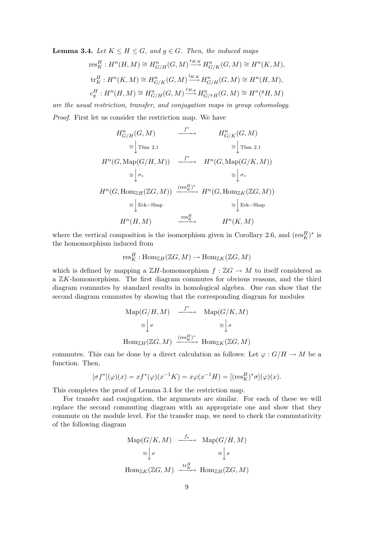**Lemma 3.4.** Let  $K \leq H \leq G$ , and  $g \in G$ . Then, the induced maps

$$
\begin{aligned}\n\operatorname{res}^H_K: H^n(H, M) &\cong H^n_{G/H}(G, M) \xrightarrow{\operatorname{tr}^H,K} H^n_{G/K}(G, M) \cong H^n(K, M), \\
\operatorname{tr}^H_K: H^n(K, M) &\cong H^n_{G/K}(G, M) \xrightarrow{\operatorname{tr}^H,K} H^n_{G/H}(G, M) \cong H^n(H, M), \\
c^H_g: H^n(H, M) &\cong H^n_{G/H}(G, M) \xrightarrow{c_{H,g}} H^n_{G/g_H}(G, M) \cong H^n(g_H, M)\n\end{aligned}
$$

are the usual restriction, transfer, and conjugation maps in group cohomology. Proof. First let us consider the restriction map. We have

$$
H_{G/H}^{n}(G, M) \longrightarrow H_{G/K}^{n}(G, M)
$$
  
\n
$$
\cong \downarrow \text{Thm 2.1} \longrightarrow H^{n}(G, \text{Map}(G/K, M))
$$
  
\n
$$
\cong \downarrow \sigma_{*} \longrightarrow H^{n}(G, \text{Map}(G/K, M))
$$
  
\n
$$
\cong \downarrow \sigma_{*} \longrightarrow H^{n}(G, \text{Map}(G/K, M))
$$
  
\n
$$
H^{n}(G, \text{Hom}_{\mathbb{Z}H}(\mathbb{Z}G, M)) \xrightarrow{(\text{res}_{K}^{H})^{*}} H^{n}(G, \text{Hom}_{\mathbb{Z}K}(\mathbb{Z}G, M))
$$
  
\n
$$
\cong \downarrow \text{Eck-Shap} \longrightarrow H^{n}(H, M)
$$
  
\n
$$
\xrightarrow{\text{res}_{K}^{H}} H^{n}(K, M)
$$

where the vertical composition is the isomorphism given in Corollary 2.6, and  $(\text{res}_{K}^{H})^*$  is the homomorphism induced from

$$
\textnormal{res}^H_K:\textnormal{Hom}_{\mathbb{Z} H}(\mathbb{Z} G,M)\rightarrow \textnormal{Hom}_{\mathbb{Z} K}(\mathbb{Z} G,M)
$$

which is defined by mapping a  $\mathbb{Z}H$ -homomorphism  $f : \mathbb{Z}G \to M$  to itself considered as a ZK-homomorphism. The first diagram commutes for obvious reasons, and the third diagram commutes by standard results in homological algebra. One can show that the second diagram commutes by showing that the corresponding diagram for modules

$$
\begin{array}{ccc}\n\text{Map}(G/H, M) & \xrightarrow{f^*} & \text{Map}(G/K, M) \\
\cong \big\downarrow \sigma & \cong \big\downarrow \sigma \\
\text{Hom}_{\mathbb{Z}H}(\mathbb{Z}G, M) & \xrightarrow{(\text{res}_K^H)^*} & \text{Hom}_{\mathbb{Z}K}(\mathbb{Z}G, M)\n\end{array}
$$

commutes. This can be done by a direct calculation as follows: Let  $\varphi: G/H \to M$  be a function. Then,

$$
[\sigma f^*](\varphi)(x) = x f^*(\varphi)(x^{-1} K) = x \varphi(x^{-1} H) = [(\operatorname{res}_{K}^{H})^* \sigma](\varphi)(x).
$$

This completes the proof of Lemma 3.4 for the restriction map.

For transfer and conjugation, the arguments are similar. For each of these we will replace the second commuting diagram with an appropriate one and show that they commute on the module level. For the transfer map, we need to check the commutativity of the following diagram

$$
\begin{array}{ccc}\n\text{Map}(G/K, M) & \xrightarrow{f_*} & \text{Map}(G/H, M) \\
\cong \bigg| \sigma & \cong \bigg| \sigma \\
\text{Hom}_{\mathbb{Z}K}(\mathbb{Z}G, M) & \xrightarrow{\text{tr}_{K}^{H}} \text{Hom}_{\mathbb{Z}H}(\mathbb{Z}G, M)\n\end{array}
$$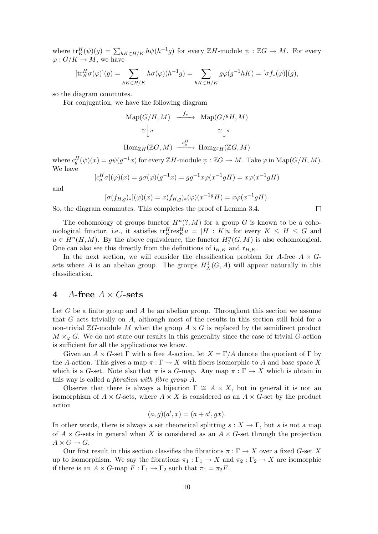where  $\text{tr}_K^H(\psi)(g) = \sum_{hK \in H/K} h\psi(h^{-1}g)$  for every  $\mathbb{Z}H$ -module  $\psi : \mathbb{Z}G \to M$ . For every  $\varphi: G/K \to M$ , we have

$$
[\text{tr}_K^H \sigma(\varphi)](g) = \sum_{hK \in H/K} h\sigma(\varphi)(h^{-1}g) = \sum_{hK \in H/K} g\varphi(g^{-1}hK) = [\sigma f_*(\varphi)](g),
$$

so the diagram commutes.

For conjugation, we have the following diagram

$$
\begin{aligned} \text{Map}(G/H, M) &\xrightarrow{f_*} \text{Map}(G/^gH, M) \\ &\cong \bigg\downarrow^{\sigma} &\cong \bigg\downarrow^{\sigma} \\ \text{Hom}_{\mathbb{Z}H}(\mathbb{Z}G, M) &\xrightarrow{c_g^H} \text{Hom}_{\mathbb{Z}^gH}(\mathbb{Z}G, M) \end{aligned}
$$

where  $c_g^H(\psi)(x) = g\psi(g^{-1}x)$  for every  $\mathbb{Z}H$ -module  $\psi : \mathbb{Z}G \to M$ . Take  $\varphi$  in  $\mathrm{Map}(G/H, M)$ . We have

$$
[c_g^H \sigma](\varphi)(x) = g\sigma(\varphi)(g^{-1}x) = gg^{-1}x\varphi(x^{-1}gH) = x\varphi(x^{-1}gH)
$$

and

$$
[\sigma(f_{H,g})_*](\varphi)(x) = x(f_{H,g})_*(\varphi)(x^{-1g}H) = x\varphi(x^{-1}gH).
$$

 $\Box$ 

So, the diagram commutes. This completes the proof of Lemma 3.4.

The cohomology of groups functor  $H^n(?, M)$  for a group G is known to be a cohomological functor, i.e., it satisfies  $\text{tr}_K^H \text{res}_K^H u = |H : K|u$  for every  $K \le H \le G$  and  $u \in H^{n}(H, M)$ . By the above equivalence, the functor  $H^{n}_{?}(G, M)$  is also cohomological. One can also see this directly from the definitions of  $i_{H,K}$  and  $r_{H,K}$ .

In the next section, we will consider the classification problem for A-free  $A \times G$ sets where A is an abelian group. The groups  $H_X^1(G, A)$  will appear naturally in this classification.

#### 4 A-free  $A \times G$ -sets

Let G be a finite group and A be an abelian group. Throughout this section we assume that G acts trivially on A, although most of the results in this section still hold for a non-trivial  $\mathbb{Z}G$ -module M when the group  $A \times G$  is replaced by the semidirect product  $M \times_{\varphi} G$ . We do not state our results in this generality since the case of trivial G-action is sufficient for all the applications we know.

Given an  $A \times G$ -set  $\Gamma$  with a free A-action, let  $X = \Gamma/A$  denote the quotient of  $\Gamma$  by the A-action. This gives a map  $\pi : \Gamma \to X$  with fibers isomorphic to A and base space X which is a G-set. Note also that  $\pi$  is a G-map. Any map  $\pi : \Gamma \to X$  which is obtain in this way is called a fibration with fibre group A.

Observe that there is always a bijection  $\Gamma \cong A \times X$ , but in general it is not an isomorphism of  $A \times G$ -sets, where  $A \times X$  is considered as an  $A \times G$ -set by the product action

$$
(a,g)(a',x) = (a+a', gx).
$$

In other words, there is always a set theoretical splitting  $s : X \to \Gamma$ , but s is not a map of  $A \times G$ -sets in general when X is considered as an  $A \times G$ -set through the projection  $A \times G \to G$ .

Our first result in this section classifies the fibrations  $\pi : \Gamma \to X$  over a fixed G-set X up to isomorphism. We say the fibrations  $\pi_1 : \Gamma_1 \to X$  and  $\pi_2 : \Gamma_2 \to X$  are isomorphic if there is an  $A \times G$ -map  $F : \Gamma_1 \to \Gamma_2$  such that  $\pi_1 = \pi_2 F$ .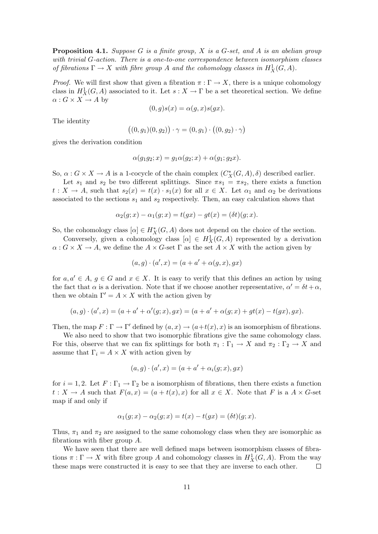**Proposition 4.1.** Suppose G is a finite group, X is a G-set, and A is an abelian group with trivial G-action. There is a one-to-one correspondence between isomorphism classes of fibrations  $\Gamma \to X$  with fibre group A and the cohomology classes in  $H^1_X(G, A)$ .

*Proof.* We will first show that given a fibration  $\pi : \Gamma \to X$ , there is a unique cohomology class in  $H_X^1(G, A)$  associated to it. Let  $s: X \to \Gamma$  be a set theoretical section. We define  $\alpha: G \times X \to A$  by

$$
(0, g)s(x) = \alpha(g, x)s(gx).
$$

The identity

$$
((0, g_1)(0, g_2)) \cdot \gamma = (0, g_1) \cdot ((0, g_2) \cdot \gamma)
$$

gives the derivation condition

$$
\alpha(g_1g_2; x) = g_1\alpha(g_2; x) + \alpha(g_1; g_2x).
$$

So,  $\alpha$ :  $G \times X \to A$  is a 1-cocycle of the chain complex  $(C_X^*(G, A), \delta)$  described earlier.

Let  $s_1$  and  $s_2$  be two different splittings. Since  $\pi s_1 = \pi s_2$ , there exists a function  $t: X \to A$ , such that  $s_2(x) = t(x) \cdot s_1(x)$  for all  $x \in X$ . Let  $\alpha_1$  and  $\alpha_2$  be derivations associated to the sections  $s_1$  and  $s_2$  respectively. Then, an easy calculation shows that

$$
\alpha_2(g; x) - \alpha_1(g; x) = t(gx) - gt(x) = (\delta t)(g; x).
$$

So, the cohomology class  $[\alpha] \in H_X^*(G, A)$  does not depend on the choice of the section.

Conversely, given a cohomology class  $[\alpha] \in H^1_X(G, A)$  represented by a derivation  $\alpha: G \times X \to A$ , we define the  $A \times G$ -set  $\Gamma$  as the set  $A \times X$  with the action given by

$$
(a,g) \cdot (a',x) = (a+a'+\alpha(g,x),gx)
$$

for  $a, a' \in A$ ,  $g \in G$  and  $x \in X$ . It is easy to verify that this defines an action by using the fact that  $\alpha$  is a derivation. Note that if we choose another representative,  $\alpha' = \delta t + \alpha$ , then we obtain  $\Gamma' = A \times X$  with the action given by

$$
(a,g)\cdot (a',x) = (a+a'+\alpha'(g;x),gx) = (a+a'+\alpha(g;x)+gt(x)-t(gx),gx).
$$

Then, the map  $F : \Gamma \to \Gamma'$  defined by  $(a, x) \to (a+t(x), x)$  is an isomorphism of fibrations.

We also need to show that two isomorphic fibrations give the same cohomology class. For this, observe that we can fix splittings for both  $\pi_1 : \Gamma_1 \to X$  and  $\pi_2 : \Gamma_2 \to X$  and assume that  $\Gamma_i = A \times X$  with action given by

$$
(a,g) \cdot (a',x) = (a+a'+\alpha_i(g;x),gx)
$$

for  $i = 1, 2$ . Let  $F : \Gamma_1 \to \Gamma_2$  be a isomorphism of fibrations, then there exists a function  $t: X \to A$  such that  $F(a, x) = (a + t(x), x)$  for all  $x \in X$ . Note that F is a  $A \times G$ -set map if and only if

$$
\alpha_1(g; x) - \alpha_2(g; x) = t(x) - t(gx) = (\delta t)(g; x).
$$

Thus,  $\pi_1$  and  $\pi_2$  are assigned to the same cohomology class when they are isomorphic as fibrations with fiber group A.

We have seen that there are well defined maps between isomorphism classes of fibrations  $\pi : \Gamma \to X$  with fibre group A and cohomology classes in  $H_X^1(G, A)$ . From the way these maps were constructed it is easy to see that they are inverse to each other.  $\Box$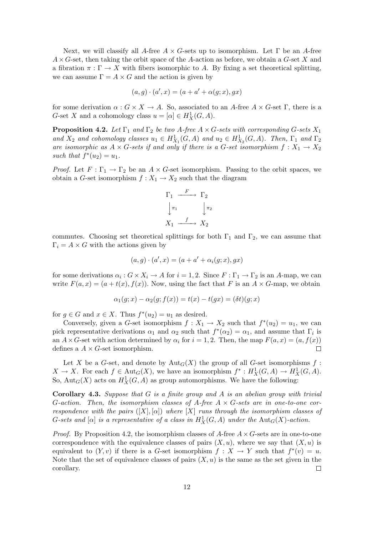Next, we will classify all A-free  $A \times G$ -sets up to isomorphism. Let  $\Gamma$  be an A-free  $A \times G$ -set, then taking the orbit space of the A-action as before, we obtain a G-set X and a fibration  $\pi : \Gamma \to X$  with fibers isomorphic to A. By fixing a set theoretical splitting, we can assume  $\Gamma = A \times G$  and the action is given by

$$
(a,g) \cdot (a',x) = (a+a'+\alpha(g;x),gx)
$$

for some derivation  $\alpha: G \times X \to A$ . So, associated to an A-free  $A \times G$ -set  $\Gamma$ , there is a G-set X and a cohomology class  $u = [\alpha] \in H_X^1(G, A)$ .

**Proposition 4.2.** Let  $\Gamma_1$  and  $\Gamma_2$  be two A-free  $A \times G$ -sets with corresponding G-sets  $X_1$ and  $X_2$  and cohomology classes  $u_1 \in H^1_{X_1}(G, A)$  and  $u_2 \in H^1_{X_2}(G, A)$ . Then,  $\Gamma_1$  and  $\Gamma_2$ are isomorphic as  $A \times G$ -sets if and only if there is a G-set isomorphism  $f: X_1 \to X_2$ such that  $f^*(u_2) = u_1$ .

*Proof.* Let  $F : \Gamma_1 \to \Gamma_2$  be an  $A \times G$ -set isomorphism. Passing to the orbit spaces, we obtain a G-set isomorphism  $f: X_1 \to X_2$  such that the diagram

$$
\Gamma_1 \xrightarrow{F} \Gamma_2
$$
  
\n
$$
\downarrow \pi_1 \qquad \qquad \downarrow \pi_2
$$
  
\n
$$
X_1 \xrightarrow{f} X_2
$$

commutes. Choosing set theoretical splittings for both  $\Gamma_1$  and  $\Gamma_2$ , we can assume that  $\Gamma_i = A \times G$  with the actions given by

$$
(a,g) \cdot (a',x) = (a+a'+\alpha_i(g;x),gx)
$$

for some derivations  $\alpha_i$ :  $G \times X_i \to A$  for  $i = 1, 2$ . Since  $F : \Gamma_1 \to \Gamma_2$  is an A-map, we can write  $F(a, x) = (a + t(x), f(x))$ . Now, using the fact that F is an  $A \times G$ -map, we obtain

$$
\alpha_1(g; x) - \alpha_2(g; f(x)) = t(x) - t(gx) = (\delta t)(g; x)
$$

for  $g \in G$  and  $x \in X$ . Thus  $f^*(u_2) = u_1$  as desired.

Conversely, given a G-set isomorphism  $f: X_1 \to X_2$  such that  $f^*(u_2) = u_1$ , we can pick representative derivations  $\alpha_1$  and  $\alpha_2$  such that  $f^*(\alpha_2) = \alpha_1$ , and assume that  $\Gamma_i$  is an  $A \times G$ -set with action determined by  $\alpha_i$  for  $i = 1, 2$ . Then, the map  $F(a, x) = (a, f(x))$ defines a  $A \times G$ -set isomorphism. П

Let X be a G-set, and denote by  $Aut_G(X)$  the group of all G-set isomorphisms f:  $X \to X$ . For each  $f \in Aut_G(X)$ , we have an isomorphism  $f^* : H^1_X(G, A) \to H^1_X(G, A)$ . So,  $Aut_G(X)$  acts on  $H^1_X(G, A)$  as group automorphisms. We have the following:

**Corollary 4.3.** Suppose that  $G$  is a finite group and  $A$  is an abelian group with trivial G-action. Then, the isomorphism classes of A-free  $A \times G$ -sets are in one-to-one correspondence with the pairs  $([X], [\alpha])$  where  $[X]$  runs through the isomorphism classes of G-sets and  $[\alpha]$  is a representative of a class in  $H^1_X(G,A)$  under the  ${\rm Aut}_G(X)$ -action.

*Proof.* By Proposition 4.2, the isomorphism classes of A-free  $A \times G$ -sets are in one-to-one correspondence with the equivalence classes of pairs  $(X, u)$ , where we say that  $(X, u)$  is equivalent to  $(Y, v)$  if there is a G-set isomorphism  $f: X \to Y$  such that  $f^*(v) = u$ . Note that the set of equivalence classes of pairs  $(X, u)$  is the same as the set given in the corollary.  $\Box$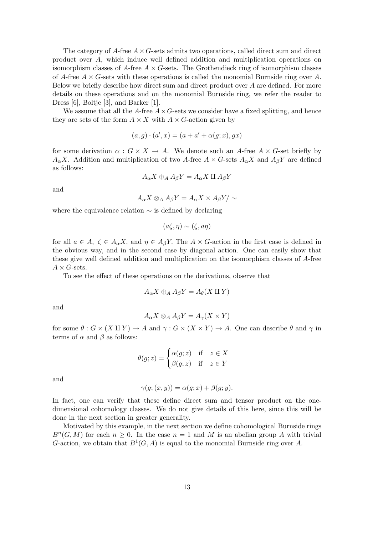The category of A-free  $A \times G$ -sets admits two operations, called direct sum and direct product over A, which induce well defined addition and multiplication operations on isomorphism classes of A-free  $A \times G$ -sets. The Grothendieck ring of isomorphism classes of A-free  $A \times G$ -sets with these operations is called the monomial Burnside ring over A. Below we briefly describe how direct sum and direct product over A are defined. For more details on these operations and on the monomial Burnside ring, we refer the reader to Dress [6], Boltje [3], and Barker [1].

We assume that all the A-free  $A \times G$ -sets we consider have a fixed splitting, and hence they are sets of the form  $A \times X$  with  $A \times G$ -action given by

$$
(a,g) \cdot (a',x) = (a+a'+\alpha(g;x),gx)
$$

for some derivation  $\alpha : G \times X \to A$ . We denote such an A-free  $A \times G$ -set briefly by  $A_{\alpha}X$ . Addition and multiplication of two A-free  $A \times G$ -sets  $A_{\alpha}X$  and  $A_{\beta}Y$  are defined as follows:

$$
A_{\alpha}X \oplus_A A_{\beta}Y = A_{\alpha}X \amalg A_{\beta}Y
$$

and

$$
A_{\alpha}X \otimes_A A_{\beta}Y = A_{\alpha}X \times A_{\beta}Y / \sim
$$

where the equivalence relation  $\sim$  is defined by declaring

$$
(a\zeta,\eta) \sim (\zeta,a\eta)
$$

for all  $a \in A$ ,  $\zeta \in A_{\alpha}X$ , and  $\eta \in A_{\beta}Y$ . The  $A \times G$ -action in the first case is defined in the obvious way, and in the second case by diagonal action. One can easily show that these give well defined addition and multiplication on the isomorphism classes of A-free  $A \times G$ -sets.

To see the effect of these operations on the derivations, observe that

$$
A_{\alpha}X \oplus_A A_{\beta}Y = A_{\theta}(X \amalg Y)
$$

and

$$
A_{\alpha}X \otimes_A A_{\beta}Y = A_{\gamma}(X \times Y)
$$

for some  $\theta$  :  $G \times (X \amalg Y) \to A$  and  $\gamma$  :  $G \times (X \times Y) \to A$ . One can describe  $\theta$  and  $\gamma$  in terms of  $\alpha$  and  $\beta$  as follows:

$$
\theta(g; z) = \begin{cases} \alpha(g; z) & \text{if } z \in X \\ \beta(g; z) & \text{if } z \in Y \end{cases}
$$

and

$$
\gamma(g; (x, y)) = \alpha(g; x) + \beta(g; y).
$$

In fact, one can verify that these define direct sum and tensor product on the onedimensional cohomology classes. We do not give details of this here, since this will be done in the next section in greater generality.

Motivated by this example, in the next section we define cohomological Burnside rings  $B<sup>n</sup>(G, M)$  for each  $n \geq 0$ . In the case  $n = 1$  and M is an abelian group A with trivial G-action, we obtain that  $B^1(G, A)$  is equal to the monomial Burnside ring over A.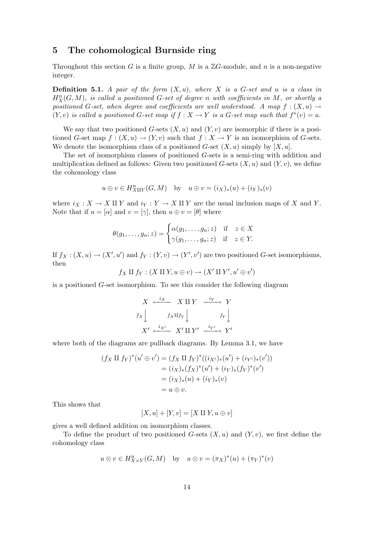### 5 The cohomological Burnside ring

Throughout this section G is a finite group, M is a  $\mathbb{Z}G$ -module, and n is a non-negative integer.

**Definition 5.1.** A pair of the form  $(X, u)$ , where X is a G-set and u is a class in  $H_X^n(G,M)$ , is called a positioned G-set of degree n with coefficients in M, or shortly a positioned G-set, when degree and coefficients are well understood. A map  $f:(X,u) \to$  $(Y, v)$  is called a positioned G-set map if  $f : X \to Y$  is a G-set map such that  $f^*(v) = u$ .

We say that two positioned G-sets  $(X, u)$  and  $(Y, v)$  are isomorphic if there is a positioned G-set map  $f : (X, u) \to (Y, v)$  such that  $f : X \to Y$  is an isomorphism of G-sets. We denote the isomorphism class of a positioned G-set  $(X, u)$  simply by  $[X, u]$ .

The set of isomorphism classes of positioned G-sets is a semi-ring with addition and multiplication defined as follows: Given two positioned G-sets  $(X, u)$  and  $(Y, v)$ , we define the cohomology class

$$
u \oplus v \in H_{X \amalg Y}^n(G, M)
$$
 by  $u \oplus v = (i_X)_*(u) + (i_Y)_*(v)$ 

where  $i_X : X \to X \amalg Y$  and  $i_Y : Y \to X \amalg Y$  are the usual inclusion maps of X and Y. Note that if  $u = [\alpha]$  and  $v = [\gamma]$ , then  $u \oplus v = [\theta]$  where

$$
\theta(g_1,\ldots,g_n;z) = \begin{cases} \alpha(g_1,\ldots,g_n;z) & \text{if } z \in X \\ \gamma(g_1,\ldots,g_n;z) & \text{if } z \in Y. \end{cases}
$$

If  $f_X: (X, u) \to (X', u')$  and  $f_Y: (Y, v) \to (Y', v')$  are two positioned G-set isomorphisms, then

 $f_X \amalg f_Y : (X \amalg Y, u \oplus v) \rightarrow (X' \amalg Y', u' \oplus v')$ 

is a positioned G-set isomorphism. To see this consider the following diagram

$$
X \xleftarrow{i_X} X \amalg Y \xrightarrow{i_Y} Y
$$
  

$$
f_X \downarrow \qquad f_X \amalg f_Y \downarrow \qquad f_Y \downarrow
$$
  

$$
X' \xleftarrow{i_{X'}} X' \amalg Y' \xrightarrow{i_{Y'}} Y'
$$

where both of the diagrams are pullback diagrams. By Lemma 3.1, we have

$$
(f_X \amalg f_Y)^*(u' \oplus v') = (f_X \amalg f_Y)^*((i_{X'})_*(u') + (i_{Y'})_*(v'))
$$
  
=  $(i_X)_*(f_X)^*(u') + (i_Y)_*(f_Y)^*(v')$   
=  $(i_X)_*(u) + (i_Y)_*(v)$   
=  $u \oplus v$ .

This shows that

$$
[X, u] + [Y, v] = [X \amalg Y, u \oplus v]
$$

gives a well defined addition on isomorphism classes.

To define the product of two positioned G-sets  $(X, u)$  and  $(Y, v)$ , we first define the cohomology class

$$
u \otimes v \in H_{X \times Y}^n(G, M)
$$
 by  $u \otimes v = (\pi_X)^*(u) + (\pi_Y)^*(v)$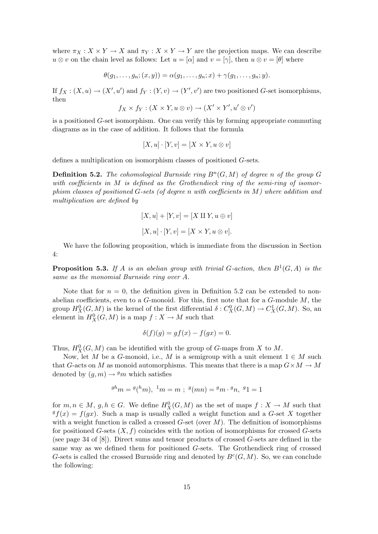where  $\pi_X : X \times Y \to X$  and  $\pi_Y : X \times Y \to Y$  are the projection maps. We can describe  $u \otimes v$  on the chain level as follows: Let  $u = [\alpha]$  and  $v = [\gamma]$ , then  $u \otimes v = [\theta]$  where

$$
\theta(g_1,\ldots,g_n;(x,y))=\alpha(g_1,\ldots,g_n;x)+\gamma(g_1,\ldots,g_n;y).
$$

If  $f_X: (X, u) \to (X', u')$  and  $f_Y: (Y, v) \to (Y', v')$  are two positioned G-set isomorphisms, then

$$
f_X \times f_Y : (X \times Y, u \otimes v) \to (X' \times Y', u' \otimes v')
$$

is a positioned G-set isomorphism. One can verify this by forming appropriate commuting diagrams as in the case of addition. It follows that the formula

$$
[X, u] \cdot [Y, v] = [X \times Y, u \otimes v]
$$

defines a multiplication on isomorphism classes of positioned G-sets.

**Definition 5.2.** The cohomological Burnside ring  $B<sup>n</sup>(G, M)$  of degree n of the group G with coefficients in M is defined as the Grothendieck ring of the semi-ring of isomorphism classes of positioned G-sets (of degree n with coefficients in M) where addition and multiplication are defined by

$$
[X, u] + [Y, v] = [X \amalg Y, u \oplus v]
$$

$$
[X, u] \cdot [Y, v] = [X \times Y, u \otimes v].
$$

We have the following proposition, which is immediate from the discussion in Section 4:

**Proposition 5.3.** If A is an abelian group with trivial G-action, then  $B^1(G, A)$  is the same as the monomial Burnside ring over A.

Note that for  $n = 0$ , the definition given in Definition 5.2 can be extended to nonabelian coefficients, even to a  $G$ -monoid. For this, first note that for a  $G$ -module  $M$ , the group  $H_X^0(G,M)$  is the kernel of the first differential  $\delta: C^0_X(G,M) \to C^1_X(G,M)$ . So, an element in  $H_X^0(G, M)$  is a map  $f: X \to M$  such that

$$
\delta(f)(g) = gf(x) - f(gx) = 0.
$$

Thus,  $H_X^0(G, M)$  can be identified with the group of G-maps from X to M.

Now, let M be a G-monoid, i.e., M is a semigroup with a unit element  $1 \in M$  such that G-acts on M as monoid automorphisms. This means that there is a map  $G \times M \to M$ denoted by  $(q, m) \rightarrow g/m$  which satisfies

$$
{}^{gh}m = {}^{g}({}^{h}m), {}^{1}m = m ; {}^{g}(mn) = {}^{g}m \cdot {}^{g}n, {}^{g}1 = 1
$$

for  $m, n \in M$ ,  $g, h \in G$ . We define  $H_X^0(G, M)$  as the set of maps  $f: X \to M$  such that  $g(x) = f(gx)$ . Such a map is usually called a weight function and a G-set X together with a weight function is called a crossed  $G$ -set (over  $M$ ). The definition of isomorphisms for positioned G-sets  $(X, f)$  coincides with the notion of isomorphisms for crossed G-sets (see page 34 of [8]). Direct sums and tensor products of crossed G-sets are defined in the same way as we defined them for positioned G-sets. The Grothendieck ring of crossed G-sets is called the crossed Burnside ring and denoted by  $B<sup>c</sup>(G, M)$ . So, we can conclude the following: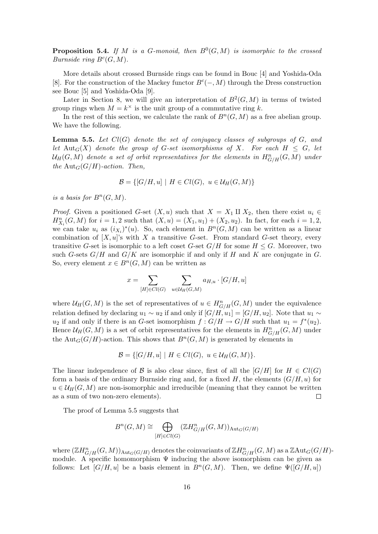**Proposition 5.4.** If M is a G-monoid, then  $B^0(G,M)$  is isomorphic to the crossed Burnside ring  $B^c(G, M)$ .

More details about crossed Burnside rings can be found in Bouc [4] and Yoshida-Oda [8]. For the construction of the Mackey functor  $B<sup>c</sup>(-, M)$  through the Dress construction see Bouc [5] and Yoshida-Oda [9].

Later in Section 8, we will give an interpretation of  $B^2(G, M)$  in terms of twisted group rings when  $M = k^{\times}$  is the unit group of a commutative ring k.

In the rest of this section, we calculate the rank of  $B<sup>n</sup>(G, M)$  as a free abelian group. We have the following.

**Lemma 5.5.** Let  $Cl(G)$  denote the set of conjugacy classes of subgroups of G, and let Aut<sub>G</sub>(X) denote the group of G-set isomorphisms of X. For each  $H \leq G$ , let  $\mathcal{U}_H(G,M)$  denote a set of orbit representatives for the elements in  $H^n_{G/H}(G,M)$  under the  ${\rm Aut}_G(G/H)$ -action. Then,

$$
\mathcal{B} = \{ [G/H, u] \mid H \in Cl(G), u \in \mathcal{U}_H(G, M) \}
$$

is a basis for  $B<sup>n</sup>(G, M)$ .

*Proof.* Given a positioned G-set  $(X, u)$  such that  $X = X_1 \amalg X_2$ , then there exist  $u_i \in$  $H_{X_i}^n(G,M)$  for  $i = 1,2$  such that  $(X, u) = (X_1, u_1) + (X_2, u_2)$ . In fact, for each  $i = 1,2$ , we can take  $u_i$  as  $(i_{X_i})^*(u)$ . So, each element in  $B^n(G,M)$  can be written as a linear combination of  $[X, u]$ 's with X a transitive G-set. From standard G-set theory, every transitive G-set is isomorphic to a left coset G-set  $G/H$  for some  $H \leq G$ . Moreover, two such G-sets  $G/H$  and  $G/K$  are isomorphic if and only if H and K are conjugate in G. So, every element  $x \in B^n(G, M)$  can be written as

$$
x = \sum_{[H] \in Cl(G)} \sum_{u \in \mathcal{U}_H(G,M)} a_{H,u} \cdot [G/H, u]
$$

where  $\mathcal{U}_H(G, M)$  is the set of representatives of  $u \in H^n_{G/H}(G, M)$  under the equivalence relation defined by declaring  $u_1 \sim u_2$  if and only if  $[G/H, u_1] = [G/H, u_2]$ . Note that  $u_1 \sim$  $u_2$  if and only if there is an G-set isomorphism  $f: G/H \to G/H$  such that  $u_1 = f^*(u_2)$ . Hence  $\mathcal{U}_H(G,M)$  is a set of orbit representatives for the elements in  $H^n_{G/H}(G,M)$  under the  $\text{Aut}_G(G/H)$ -action. This shows that  $B<sup>n</sup>(G,M)$  is generated by elements in

$$
\mathcal{B} = \{ [G/H, u] \mid H \in Cl(G), u \in \mathcal{U}_H(G, M) \}.
$$

The linear independence of B is also clear since, first of all the  $|G/H|$  for  $H \in Cl(G)$ form a basis of the ordinary Burnside ring and, for a fixed  $H$ , the elements  $(G/H, u)$  for  $u \in \mathcal{U}_H(G, M)$  are non-isomorphic and irreducible (meaning that they cannot be written as a sum of two non-zero elements).  $\Box$ 

The proof of Lemma 5.5 suggests that

$$
B^{n}(G, M) \cong \bigoplus_{[H] \in Cl(G)} (\mathbb{Z}H^{n}_{G/H}(G, M))_{\text{Aut}_{G}(G/H)}
$$

where  $(\mathbb{Z}H_{G/H}^n(G,M))_{\text{Aut}_G(G/H)}$  denotes the coinvariants of  $\mathbb{Z}H_{G/H}^n(G,M)$  as a  $\mathbb{Z}\text{Aut}_G(G/H)$ module. A specific homomorphism  $\Psi$  inducing the above isomorphism can be given as follows: Let  $[G/H, u]$  be a basis element in  $B<sup>n</sup>(G, M)$ . Then, we define  $\Psi([G/H, u])$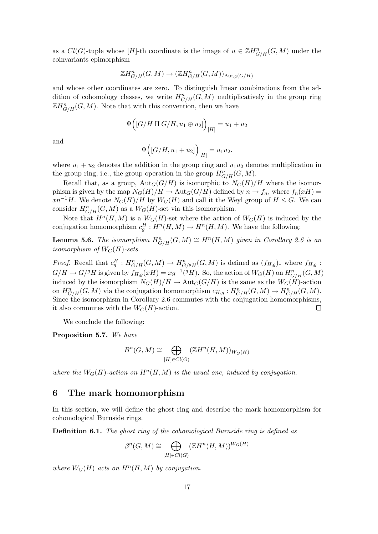as a  $Cl(G)$ -tuple whose [H]-th coordinate is the image of  $u \in \mathbb{Z}H^n_{G/H}(G,M)$  under the coinvariants epimorphism

$$
\mathbb{Z}H^n_{G/H}(G,M)\to (\mathbb{Z}H^n_{G/H}(G,M))_{\text{Aut}_G(G/H)}
$$

and whose other coordinates are zero. To distinguish linear combinations from the addition of cohomology classes, we write  $H^n_{G/H}(G, M)$  multiplicatively in the group ring  $\mathbb{Z}H_{G/H}^n(G,M)$ . Note that with this convention, then we have

$$
\Psi\Bigl( \bigl[ G/H \amalg G/H, u_1 \oplus u_2 \bigr] \Bigr)_{[H]} = u_1 + u_2
$$

and

$$
\Psi\Big([G/H,u_1+u_2]\Big)_{[H]}=u_1u_2.
$$

where  $u_1 + u_2$  denotes the addition in the group ring and  $u_1u_2$  denotes multiplication in the group ring, i.e., the group operation in the group  $H_{G/H}^n(G, M)$ .

Recall that, as a group,  $Aut_G(G/H)$  is isomorphic to  $N_G(H)/H$  where the isomorphism is given by the map  $N_G(H)/H \to \text{Aut}_G(G/H)$  defined by  $n \to f_n$ , where  $f_n(xH) =$  $xn^{-1}H$ . We denote  $N_G(H)/H$  by  $W_G(H)$  and call it the Weyl group of  $H \leq G$ . We can consider  $H^n_{G/H}(G, M)$  as a  $W_G(H)$ -set via this isomorphism.

Note that  $H^n(H, M)$  is a  $W_G(H)$ -set where the action of  $W_G(H)$  is induced by the conjugation homomorphism  $c_g^H: H^n(H, M) \to H^n(H, M)$ . We have the following:

**Lemma 5.6.** The isomorphism  $H^n_{G/H}(G,M) \cong H^n(H,M)$  given in Corollary 2.6 is an isomorphism of  $W_G(H)$ -sets.

*Proof.* Recall that  $c_g^H: H^n_{G/H}(G,M) \to H^n_{G/gH}(G,M)$  is defined as  $(f_{H,g})_*$  where  $f_{H,g}$ :  $G/H \to G/^gH$  is given by  $f_{H,g}(xH) = xg^{-1}(^gH)$ . So, the action of  $W_G(H)$  on  $H^n_{G/H}(G,M)$ induced by the isomorphism  $N_G(H)/H \to \text{Aut}_G(G/H)$  is the same as the  $W_G(H)$ -action on  $H^n_{G/H}(G,M)$  via the conjugation homomorphism  $c_{H,g}: H^n_{G/H}(G,M) \to H^n_{G/H}(G,M)$ . Since the isomorphism in Corollary 2.6 commutes with the conjugation homomorphisms, it also commutes with the  $W_G(H)$ -action.

We conclude the following:

Proposition 5.7. We have

$$
B^{n}(G, M) \cong \bigoplus_{[H] \in Cl(G)} (\mathbb{Z}H^{n}(H, M))_{W_G(H)}
$$

where the  $W_G(H)$ -action on  $H^n(H, M)$  is the usual one, induced by conjugation.

#### 6 The mark homomorphism

In this section, we will define the ghost ring and describe the mark homomorphism for cohomological Burnside rings.

Definition 6.1. The ghost ring of the cohomological Burnside ring is defined as

$$
\beta^{n}(G, M) \cong \bigoplus_{[H] \in Cl(G)} (\mathbb{Z}H^{n}(H, M))^{W_G(H)}
$$

where  $W_G(H)$  acts on  $H^n(H, M)$  by conjugation.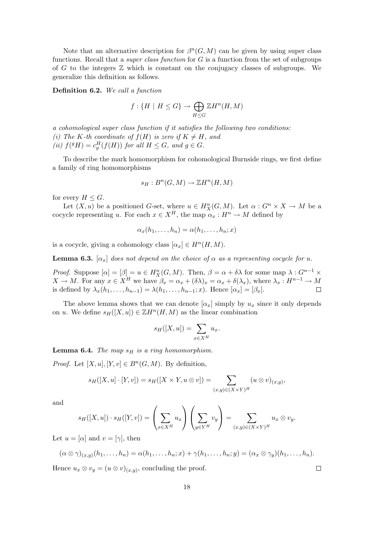Note that an alternative description for  $\beta^{n}(G, M)$  can be given by using super class functions. Recall that a *super class function* for  $G$  is a function from the set of subgroups of G to the integers  $\mathbb Z$  which is constant on the conjugacy classes of subgroups. We generalize this definition as follows.

Definition 6.2. We call a function

$$
f: \{H \mid H \le G\} \to \bigoplus_{H \le G} \mathbb{Z}H^n(H, M)
$$

a cohomological super class function if it satisfies the following two conditions: (i) The K-th coordinate of  $f(H)$  is zero if  $K \neq H$ , and (ii)  $f({}^g H) = c_g^H(f(H))$  for all  $H \leq G$ , and  $g \in G$ .

To describe the mark homomorphism for cohomological Burnside rings, we first define a family of ring homomorphisms

$$
s_H: B^n(G,M) \to \mathbb{Z}H^n(H,M)
$$

for every  $H \leq G$ .

Let  $(X, u)$  be a positioned G-set, where  $u \in H_X^n(G, M)$ . Let  $\alpha : G^n \times X \to M$  be a cocycle representing u. For each  $x \in X^H$ , the map  $\alpha_x : H^n \to M$  defined by

$$
\alpha_x(h_1,\ldots,h_n)=\alpha(h_1,\ldots,h_n;x)
$$

is a cocycle, giving a cohomology class  $[\alpha_x] \in H^n(H, M)$ .

**Lemma 6.3.**  $[\alpha_x]$  does not depend on the choice of  $\alpha$  as a representing cocycle for u.

*Proof.* Suppose  $[\alpha] = [\beta] = u \in H_X^n(G, M)$ . Then,  $\beta = \alpha + \delta\lambda$  for some map  $\lambda : G^{n-1} \times$  $X \to M$ . For any  $x \in X^H$  we have  $\beta_x = \alpha_x + (\delta \lambda)_x = \alpha_x + \delta(\lambda_x)$ , where  $\lambda_x : H^{n-1} \to M$ is defined by  $\lambda_x(h_1,\ldots,h_{n-1}) = \lambda(h_1,\ldots,h_{n-1};x)$ . Hence  $[\alpha_x] = [\beta_x]$ .  $\Box$ 

The above lemma shows that we can denote  $[\alpha_x]$  simply by  $u_x$  since it only depends on u. We define  $s_H([X, u]) \in \mathbb{Z}H^n(H, M)$  as the linear combination

$$
s_H([X, u]) = \sum_{x \in X^H} u_x.
$$

**Lemma 6.4.** The map  $s_H$  is a ring homomorphism.

*Proof.* Let  $[X, u], [Y, v] \in B<sup>n</sup>(G, M)$ . By definition,

$$
s_H([X, u] \cdot [Y, v]) = s_H([X \times Y, u \otimes v]) = \sum_{(x, y) \in (X \times Y)^H} (u \otimes v)_{(x, y)},
$$

and

$$
s_H([X,u]) \cdot s_H([Y,v]) = \left(\sum_{x \in X^H} u_x\right) \left(\sum_{y \in Y^H} v_y\right) = \sum_{(x,y) \in (X \times Y)^H} u_x \otimes v_y.
$$

Let  $u = [\alpha]$  and  $v = [\gamma]$ , then

$$
(\alpha \otimes \gamma)_{(x,y)}(h_1, \dots, h_n) = \alpha(h_1, \dots, h_n; x) + \gamma(h_1, \dots, h_n; y) = (\alpha_x \otimes \gamma_y)(h_1, \dots, h_n).
$$
  
Hence  $u_x \otimes v_y = (u \otimes v)_{(x,y)}$ , concluding the proof.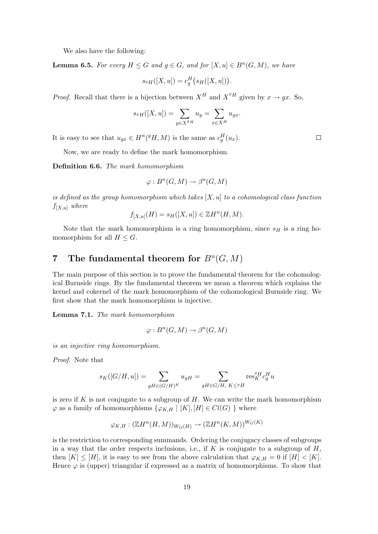We also have the following:

**Lemma 6.5.** For every  $H \leq G$  and  $g \in G$ , and for  $[X, u] \in B^n(G, M)$ , we have

$$
s_{^gH}([X, u]) = c_g^H\big(s_H([X, u])\big).
$$

*Proof.* Recall that there is a bijection between  $X^H$  and  $X^{gH}$  given by  $x \to gx$ . So,

$$
s_{^gH}([X, u]) = \sum_{y \in X^{^gH}} u_y = \sum_{x \in X^H} u_{gx}.
$$

It is easy to see that  $u_{gx} \in H^n({}^g H, M)$  is the same as  $c_g^H(u_x)$ .

Now, we are ready to define the mark homomorphism.

Definition 6.6. The mark homomorphism

$$
\varphi: B^n(G, M) \to \beta^n(G, M)
$$

is defined as the group homomorphism which takes  $[X, u]$  to a cohomological class function  $f_{[X,u]}$  where

$$
f_{[X,u]}(H) = s_H([X,u]) \in \mathbb{Z}H^n(H,M).
$$

Note that the mark homomorphism is a ring homomorphism, since  $s_H$  is a ring homomorphism for all  $H \leq G$ .

### 7 The fundamental theorem for  $B^n(G, M)$

The main purpose of this section is to prove the fundamental theorem for the cohomological Burnside rings. By the fundamental theorem we mean a theorem which explains the kernel and cokernel of the mark homomorphism of the cohomological Burnside ring. We first show that the mark homomorphism is injective.

Lemma 7.1. The mark homomorphism

$$
\varphi: B^n(G, M) \to \beta^n(G, M)
$$

is an injective ring homomorphism.

Proof. Note that

$$
s_K([G/H, u]) = \sum_{gH \in (G/H)^K} u_{gH} = \sum_{gH \in G/H, K \leq gH} \text{res}^{gH}_K c_g^H u
$$

is zero if  $K$  is not conjugate to a subgroup of  $H$ . We can write the mark homomorphism  $\varphi$  as a family of homomorphisms  $\{\varphi_{K,H} \mid [K], [H] \in Cl(G) \}$  where

$$
\varphi_{K,H}: (\mathbb{Z}H^n(H,M))_{W_G(H)} \to (\mathbb{Z}H^n(K,M))^{W_G(K)}
$$

is the restriction to corresponding summands. Ordering the conjugacy classes of subgroups in a way that the order respects inclusions, i.e., if  $K$  is conjugate to a subgroup of  $H$ , then  $[K] \leq [H]$ , it is easy to see from the above calculation that  $\varphi_{K,H} = 0$  if  $[H] < [K]$ . Hence  $\varphi$  is (upper) triangular if expressed as a matrix of homomorphisms. To show that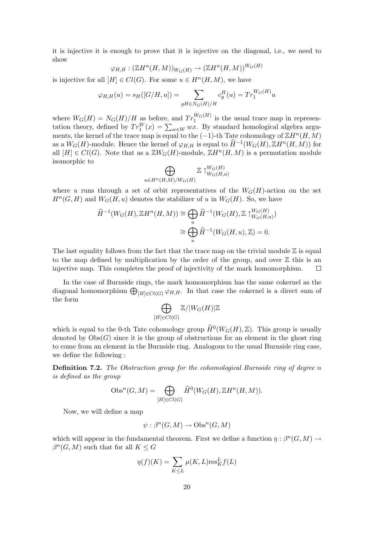it is injective it is enough to prove that it is injective on the diagonal, i.e., we need to show

$$
\varphi_{H,H}: (\mathbb{Z}H^n(H,M))_{W_G(H)} \to (\mathbb{Z}H^n(H,M))^{W_G(H)}
$$

is injective for all  $[H] \in Cl(G)$ . For some  $u \in H^n(H, M)$ , we have

$$
\varphi_{H,H}(u) = s_H([G/H, u]) = \sum_{gH \in N_G(H)/H} c_g^H(u) = Tr_1^{W_G(H)} u
$$

where  $W_G(H) = N_G(H)/H$  as before, and  $Tr_1^{W_G(H)}$  is the usual trace map in represenwhere  $W_G(H) = N_G(H)/H$  as before, and  $T_1$  is the usual trace map in representation theory, defined by  $Tr_1^W(x) = \sum_{w \in W} wx$ . By standard homological algebra arguments, the kernel of the trace map is equal to the  $(-1)$ -th Tate cohomology of  $\mathbb{Z}H^n(H,M)$ as a  $W_G(H)$ -module. Hence the kernel of  $\varphi_{H,H}$  is equal to  $\widehat{H}^{-1}(W_G(H), \mathbb{Z}H^n(H, M))$  for all  $[H] \in Cl(G)$ . Note that as a  $\mathbb{Z}W_G(H)$ -module,  $\mathbb{Z}H^n(H,M)$  is a permutation module isomorphic to  $\overline{a}$ 

$$
\bigoplus_{u \in H^n(H,M)/W_G(H)} \mathbb{Z} \uparrow_{W_G(H,u)}^{W_G(H)}
$$

where u runs through a set of orbit representatives of the  $W_G(H)$ -action on the set  $H^n(G, H)$  and  $W_G(H, u)$  denotes the stabilizer of u in  $W_G(H)$ . So, we have

$$
\widehat{H}^{-1}(W_G(H), \mathbb{Z}H^n(H, M)) \cong \bigoplus_u \widehat{H}^{-1}(W_G(H), \mathbb{Z} \upharpoonright_{W_G(H, u)}^{W_G(H)})
$$

$$
\cong \bigoplus_u \widehat{H}^{-1}(W_G(H, u), \mathbb{Z}) = 0.
$$

The last equality follows from the fact that the trace map on the trivial module  $\mathbb Z$  is equal to the map defined by multiplication by the order of the group, and over  $\mathbb Z$  this is an injective map. This completes the proof of injectivity of the mark homomorphism.  $\Box$ 

In the case of Burnside rings, the mark homomorphism has the same cokernel as the In the case of Burnside rings, the mark homomorphism has the same cokerner as the diagonal homomorphism  $\bigoplus_{[H]\in Cl(G)} \varphi_{H,H}$ . In that case the cokernel is a direct sum of the form  $\overline{a}$ 

$$
\bigoplus_{[H]\in Cl(G)}\mathbb{Z}/|W_G(H)|\mathbb{Z}
$$

which is equal to the 0-th Tate cohomology group  $\widehat{H}^0(W_G(H), \mathbb{Z})$ . This group is usually denoted by  $\mathrm{Obs}(G)$  since it is the group of obstructions for an element in the ghost ring to come from an element in the Burnside ring. Analogous to the usual Burnside ring case, we define the following :

**Definition 7.2.** The Obstruction group for the cohomological Burnside ring of degree n is defined as the group

$$
\mathrm{Obs}^n(G, M) = \bigoplus_{[H] \in Cl(G)} \widehat{H}^0(W_G(H), \mathbb{Z}H^n(H, M)).
$$

Now, we will define a map

$$
\psi: \beta^n(G, M) \to \mathrm{Obs}^n(G, M)
$$

which will appear in the fundamental theorem. First we define a function  $\eta : \beta^n(G, M) \to$  $\beta^{n}(G, M)$  such that for all  $K \leq G$ 

$$
\eta(f)(K) = \sum_{K \le L} \mu(K, L) \text{res}_K^L f(L)
$$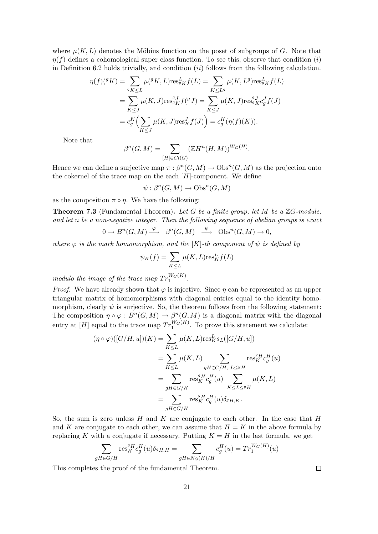where  $\mu(K, L)$  denotes the Möbius function on the poset of subgroups of G. Note that  $\eta(f)$  defines a cohomological super class function. To see this, observe that condition (i) in Definition 6.2 holds trivially, and condition  $(ii)$  follows from the following calculation.

$$
\eta(f)(^g K) = \sum_{g_K \le L} \mu(^g K, L) \text{res}_{g_K}^L f(L) = \sum_{K \le L^g} \mu(K, L^g) \text{res}_{g_K}^L f(L)
$$
  
= 
$$
\sum_{K \le J} \mu(K, J) \text{res}_{g_K}^{g J} f({}^g J) = \sum_{K \le J} \mu(K, J) \text{res}_{g_K}^{g J} c_g^J f(J)
$$
  
= 
$$
c_g^K \Big( \sum_{K \le J} \mu(K, J) \text{res}_K^J f(J) \Big) = c_g^K (\eta(f)(K)).
$$

Note that

$$
\beta^{n}(G, M) = \sum_{[H] \in Cl(G)} (\mathbb{Z}H^{n}(H, M))^{W_G(H)}.
$$

Hence we can define a surjective map  $\pi : \beta^{n}(G, M) \to \mathrm{Obs}^{n}(G, M)$  as the projection onto the cokernel of the trace map on the each  $[H]$ -component. We define

$$
\psi: \beta^n(G, M) \to \text{Obs}^n(G, M)
$$

as the composition  $\pi \circ \eta$ . We have the following:

**Theorem 7.3** (Fundamental Theorem). Let G be a finite group, let M be a  $\mathbb{Z}G$ -module, and let n be a non-negative integer. Then the following sequence of abelian groups is exact

$$
0 \to B^{n}(G, M) \xrightarrow{\varphi} \beta^{n}(G, M) \xrightarrow{\psi} \text{Obs}^{n}(G, M) \to 0,
$$

where  $\varphi$  is the mark homomorphism, and the [K]-th component of  $\psi$  is defined by

$$
\psi_K(f) = \sum_{K \le L} \mu(K, L) \text{res}_K^L f(L)
$$

modulo the image of the trace map  $Tr_1^{W_G(K)}$ .

*Proof.* We have already shown that  $\varphi$  is injective. Since  $\eta$  can be represented as an upper triangular matrix of homomorphisms with diagonal entries equal to the identity homomorphism, clearly  $\psi$  is surjective. So, the theorem follows from the following statement: The composition  $\eta \circ \varphi : B^n(G, M) \to \beta^n(G, M)$  is a diagonal matrix with the diagonal entry at  $[H]$  equal to the trace map  $Tr_1^{W_G(H)}$ . To prove this statement we calculate:

$$
(\eta \circ \varphi)([G/H, u])(K) = \sum_{K \le L} \mu(K, L) \text{res}_{K}^{L} s_{L}([G/H, u])
$$
  
\n
$$
= \sum_{K \le L} \mu(K, L) \sum_{gH \in G/H, L \le gH} \text{res}_{K}^{gH} c_{g}^{H}(u)
$$
  
\n
$$
= \sum_{gH \in G/H} \text{res}_{K}^{gH} c_{g}^{H}(u) \sum_{K \le L \le gH} \mu(K, L)
$$
  
\n
$$
= \sum_{gH \in G/H} \text{res}_{K}^{gH} c_{g}^{H}(u) \delta_{gH,K}.
$$

So, the sum is zero unless  $H$  and  $K$  are conjugate to each other. In the case that  $H$ and K are conjugate to each other, we can assume that  $H = K$  in the above formula by replacing K with a conjugate if necessary. Putting  $K = H$  in the last formula, we get

$$
\sum_{gH \in G/H} \operatorname{res}_{H}^{gH} c_g^H(u) \delta_{gH,H} = \sum_{gH \in N_G(H)/H} c_g^H(u) = Tr_1^{W_G(H)}(u)
$$

This completes the proof of the fundamental Theorem.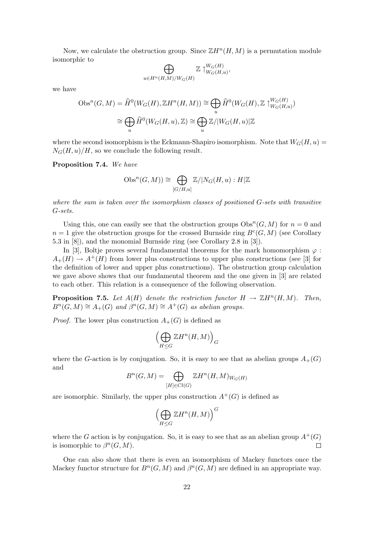Now, we calculate the obstruction group. Since  $\mathbb{Z}H^n(H,M)$  is a permutation module isomorphic to  $\overline{a}$ 

$$
\bigoplus_{u \in H^n(H,M)/W_G(H)} \mathbb{Z} \uparrow_{W_G(H,u)}^{W_G(H)},
$$

we have

$$
\mathrm{Obs}^n(G, M) = \widehat{H}^0(W_G(H), \mathbb{Z}H^n(H, M)) \cong \bigoplus_u \widehat{H}^0(W_G(H), \mathbb{Z} \upharpoonright_{W_G(H, u)}^{W_G(H)})
$$

$$
\cong \bigoplus_u \widehat{H}^0(W_G(H, u), \mathbb{Z}) \cong \bigoplus_u \mathbb{Z}/|W_G(H, u)|\mathbb{Z}
$$

where the second isomorphism is the Eckmann-Shapiro isomorphism. Note that  $W_G(H, u)$  =  $N_G(H, u)/H$ , so we conclude the following result.

Proposition 7.4. We have

$$
\mathrm{Obs}^n(G, M)) \cong \bigoplus_{[G/H, u]} \mathbb{Z}/|N_G(H, u): H|\mathbb{Z}|
$$

where the sum is taken over the isomorphism classes of positioned G-sets with transitive G-sets.

Using this, one can easily see that the obstruction groups  $\text{Obs}^n(G, M)$  for  $n = 0$  and  $n = 1$  give the obstruction groups for the crossed Burnside ring  $B<sup>c</sup>(G, M)$  (see Corollary 5.3 in [8]), and the monomial Burnside ring (see Corollary 2.8 in [3]).

In [3], Boltje proves several fundamental theorems for the mark homomorphism  $\varphi$ :  $A_{+}(H) \rightarrow A^{+}(H)$  from lower plus constructions to upper plus constructions (see [3] for the definition of lower and upper plus constructions). The obstruction group calculation we gave above shows that our fundamental theorem and the one given in [3] are related to each other. This relation is a consequence of the following observation.

**Proposition 7.5.** Let  $A(H)$  denote the restriction functor  $H \to \mathbb{Z}H^n(H,M)$ . Then,  $B^n(G, M) \cong A_+(G)$  and  $\beta^n(G, M) \cong A^+(G)$  as abelian groups.

*Proof.* The lower plus construction  $A_+(G)$  is defined as

$$
\Bigl(\bigoplus_{H\leq G}{\Bbb Z}H^n(H,M)\Bigr)_G
$$

where the G-action is by conjugation. So, it is easy to see that as abelian groups  $A_{+}(G)$ and

$$
B^n(G, M) = \bigoplus_{[H] \in Cl(G)} \mathbb{Z}H^n(H, M)_{W_G(H)}
$$

are isomorphic. Similarly, the upper plus construction  $A^+(G)$  is defined as

$$
\Bigl(\bigoplus_{H\leq G} \mathbb{Z} H^n(H,M)\Bigr)^G
$$

where the G action is by conjugation. So, it is easy to see that as an abelian group  $A^+(G)$ is isomorphic to  $\beta^{n}(G, M)$ .  $\Box$ 

One can also show that there is even an isomorphism of Mackey functors once the Mackey functor structure for  $B^n(G, M)$  and  $\beta^n(G, M)$  are defined in an appropriate way.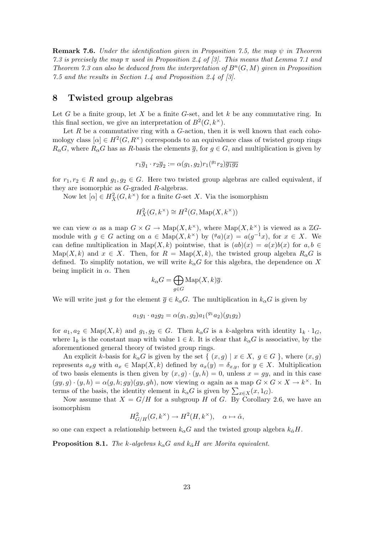**Remark 7.6.** Under the identification given in Proposition 7.5, the map  $\psi$  in Theorem 7.3 is precisely the map  $\pi$  used in Proposition 2.4 of [3]. This means that Lemma 7.1 and Theorem 7.3 can also be deduced from the interpretation of  $B<sup>n</sup>(G, M)$  given in Proposition 7.5 and the results in Section 1.4 and Proposition 2.4 of [3].

#### 8 Twisted group algebras

Let G be a finite group, let X be a finite G-set, and let  $k$  be any commutative ring. In this final section, we give an interpretation of  $B^2(G, k^{\times})$ .

Let R be a commutative ring with a  $G$ -action, then it is well known that each cohomology class  $[\alpha] \in H^2(G, R^{\times})$  corresponds to an equivalence class of twisted group rings  $R_{\alpha}G$ , where  $R_{\alpha}G$  has as R-basis the elements  $\overline{g}$ , for  $g \in G$ , and multiplication is given by

$$
r_1\overline{g}_1 \cdot r_2\overline{g}_2 := \alpha(g_1, g_2)r_1({}^{g_1}r_2)\overline{g_1g_2}
$$

for  $r_1, r_2 \in R$  and  $g_1, g_2 \in G$ . Here two twisted group algebras are called equivalent, if they are isomorphic as G-graded R-algebras.

Now let  $[\alpha] \in H_X^2(G, k^\times)$  for a finite G-set X. Via the isomorphism

$$
H_X^2(G, k^\times) \cong H^2(G, \operatorname{Map}(X, k^\times))
$$

we can view  $\alpha$  as a map  $G \times G \to \text{Map}(X, k^{\times})$ , where  $\text{Map}(X, k^{\times})$  is viewed as a  $\mathbb{Z}G$ module with  $g \in G$  acting on  $a \in \text{Map}(X, k^{\times})$  by  $({}^ga)(x) = a(g^{-1}x)$ , for  $x \in X$ . We can define multiplication in Map(X, k) pointwise, that is  $(ab)(x) = a(x)b(x)$  for  $a, b \in$  $\text{Map}(X, k)$  and  $x \in X$ . Then, for  $R = \text{Map}(X, k)$ , the twisted group algebra  $R_{\alpha}G$  is defined. To simplify notation, we will write  $k_{\alpha}G$  for this algebra, the dependence on X being implicit in  $\alpha$ . Then  $\sim$ 

$$
k_{\alpha}G = \bigoplus_{g \in G} \text{Map}(X, k)\overline{g}.
$$

We will write just g for the element  $\overline{g} \in k_{\alpha}G$ . The multiplication in  $k_{\alpha}G$  is given by

$$
a_1g_1 \cdot a_2g_2 = \alpha(g_1, g_2)a_1(^{g_1}a_2)(g_1g_2)
$$

for  $a_1, a_2 \in \text{Map}(X, k)$  and  $g_1, g_2 \in G$ . Then  $k_\alpha G$  is a k-algebra with identity  $1_k \cdot 1_G$ , where  $1_k$  is the constant map with value  $1 \in k$ . It is clear that  $k_\alpha G$  is associative, by the aforementioned general theory of twisted group rings.

An explicit k-basis for  $k_{\alpha}G$  is given by the set  $\{ (x, g) | x \in X, g \in G \}$ , where  $(x, g)$ represents  $a_x g$  with  $a_x \in \text{Map}(X, k)$  defined by  $a_x(y) = \delta_{x,y}$ , for  $y \in X$ . Multiplication of two basis elements is then given by  $(x, g) \cdot (y, h) = 0$ , unless  $x = gy$ , and in this case  $(gy, g) \cdot (y, h) = \alpha(g, h; gy)(gy, gh)$ , now viewing  $\alpha$  again as a map  $G \times G \times X \to k^{\times}$ . In  $(gy, g) \cdot (y, n) = \alpha(g, n; gy)(gy, gn)$ , now viewing  $\alpha$  again as a map  $G \times C$ <br>terms of the basis, the identity element in  $k_{\alpha}G$  is given by  $\sum_{x \in X}(x, 1_G)$ .

Now assume that  $X = G/H$  for a subgroup H of G. By Corollary 2.6, we have an isomorphism

$$
H^2_{G/H}(G,k^{\times}) \to H^2(H,k^{\times}), \quad \alpha \mapsto \hat{\alpha},
$$

so one can expect a relationship between  $k_{\alpha}G$  and the twisted group algebra  $k_{\hat{\alpha}}H$ .

**Proposition 8.1.** The k-algebras  $k_{\alpha}G$  and  $k_{\hat{\alpha}}H$  are Morita equivalent.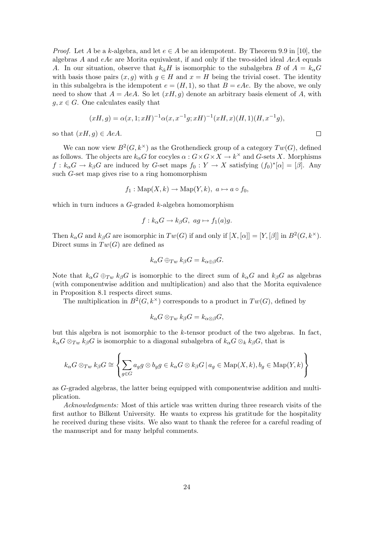*Proof.* Let A be a k-algebra, and let  $e \in A$  be an idempotent. By Theorem 9.9 in [10], the algebras A and  $eAe$  are Morita equivalent, if and only if the two-sided ideal  $AeA$  equals A. In our situation, observe that  $k_{\hat{\alpha}}H$  is isomorphic to the subalgebra B of  $A = k_{\alpha}G$ with basis those pairs  $(x, g)$  with  $g \in H$  and  $x = H$  being the trivial coset. The identity in this subalgebra is the idempotent  $e = (H, 1)$ , so that  $B = eAe$ . By the above, we only need to show that  $A = AeA$ . So let  $(xH, g)$  denote an arbitrary basis element of A, with  $q, x \in G$ . One calculates easily that

$$
(xH, g) = \alpha(x, 1; xH)^{-1} \alpha(x, x^{-1}g; xH)^{-1}(xH, x)(H, 1)(H, x^{-1}g),
$$
  

$$
H, g) \in AeA.
$$

so that  $(xH, g) \in AeA$ .

We can now view  $B^2(G, k^{\times})$  as the Grothendieck group of a category  $Tw(G)$ , defined as follows. The objects are  $k_{\alpha}G$  for cocyles  $\alpha: G \times G \times X \to k^{\times}$  and G-sets X. Morphisms  $f: k_{\alpha}G \to k_{\beta}G$  are induced by G-set maps  $f_0: Y \to X$  satisfying  $(f_0)^*[\alpha] = [\beta]$ . Any such G-set map gives rise to a ring homomorphism

$$
f_1: \text{Map}(X, k) \to \text{Map}(Y, k), \ a \mapsto a \circ f_0,
$$

which in turn induces a  $G$ -graded  $k$ -algebra homomorphism

$$
f: k_{\alpha}G \to k_{\beta}G, \ ag \mapsto f_1(a)g.
$$

Then  $k_{\alpha}G$  and  $k_{\beta}G$  are isomorphic in  $Tw(G)$  if and only if  $[X,[\alpha]] = [Y,[\beta]]$  in  $B^2(G, k^{\times})$ . Direct sums in  $Tw(G)$  are defined as

$$
k_{\alpha}G \oplus_{Tw} k_{\beta}G = k_{\alpha \oplus \beta}G.
$$

Note that  $k_{\alpha}G \oplus_{Tw} k_{\beta}G$  is isomorphic to the direct sum of  $k_{\alpha}G$  and  $k_{\beta}G$  as algebras (with componentwise addition and multiplication) and also that the Morita equivalence in Proposition 8.1 respects direct sums.

The multiplication in  $B^2(G, k^{\times})$  corresponds to a product in  $Tw(G)$ , defined by

$$
k_{\alpha}G \otimes_{Tw} k_{\beta}G = k_{\alpha \otimes \beta}G,
$$

but this algebra is not isomorphic to the k-tensor product of the two algebras. In fact,  $k_{\alpha}G \otimes_{Tw} k_{\beta}G$  is isomorphic to a diagonal subalgebra of  $k_{\alpha}G \otimes_k k_{\beta}G$ , that is

$$
k_{\alpha}G \otimes_{Tw} k_{\beta}G \cong \left\{ \sum_{g \in G} a_g g \otimes b_g g \in k_{\alpha}G \otimes k_{\beta}G \mid a_g \in \mathrm{Map}(X,k), b_g \in \mathrm{Map}(Y,k) \right\}
$$

as G-graded algebras, the latter being equipped with componentwise addition and multiplication.

Acknowledgments: Most of this article was written during three research visits of the first author to Bilkent University. He wants to express his gratitude for the hospitality he received during these visits. We also want to thank the referee for a careful reading of the manuscript and for many helpful comments.